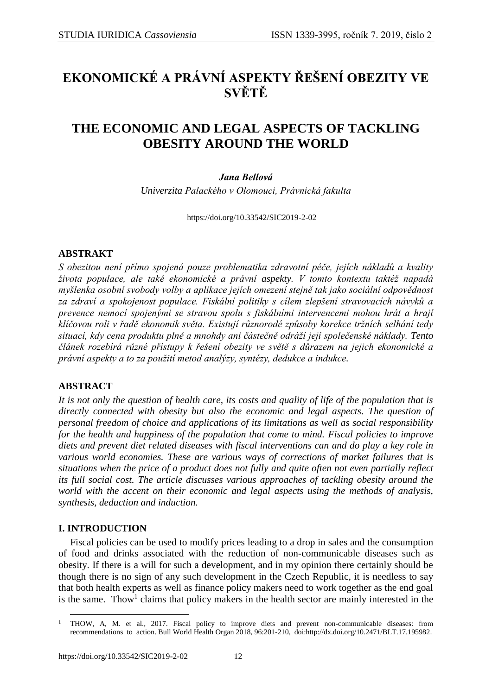# **EKONOMICKÉ A PRÁVNÍ ASPEKTY ŘEŠENÍ OBEZITY VE SVĚTĚ**

# **THE ECONOMIC AND LEGAL ASPECTS OF TACKLING OBESITY AROUND THE WORLD**

## *Jana Bellová*

*Univerzita Palackého v Olomouci, Právnická fakulta*

https://doi.org/10.33542/SIC2019-2-02

## **ABSTRAKT**

*S obezitou není přímo spojená pouze problematika zdravotní péče, jejích nákladů a kvality života populace, ale také ekonomické a právní aspekty. V tomto kontextu taktéž napadá myšlenka osobní svobody volby a aplikace jejích omezení stejně tak jako sociální odpovědnost za zdraví a spokojenost populace. Fiskální politiky s cílem zlepšení stravovacích návyků a prevence nemocí spojenými se stravou spolu s fiskálními intervencemi mohou hrát a hrají klíčovou roli v řadě ekonomik světa. Existují různorodé způsoby korekce tržních selhání tedy situací, kdy cena produktu plně a mnohdy ani částečně odráží její společenské náklady. Tento článek rozebírá různé přístupy k řešení obezity ve světě s důrazem na jejich ekonomické a právní aspekty a to za použití metod analýzy, syntézy, dedukce a indukce.*

## **ABSTRACT**

*It is not only the question of health care, its costs and quality of life of the population that is directly connected with obesity but also the economic and legal aspects. The question of personal freedom of choice and applications of its limitations as well as social responsibility for the health and happiness of the population that come to mind. Fiscal policies to improve diets and prevent diet related diseases with fiscal interventions can and do play a key role in various world economies. These are various ways of corrections of market failures that is situations when the price of a product does not fully and quite often not even partially reflect its full social cost. The article discusses various approaches of tackling obesity around the world with the accent on their economic and legal aspects using the methods of analysis, synthesis, deduction and induction.*

## **I. INTRODUCTION**

Fiscal policies can be used to modify prices leading to a drop in sales and the consumption of food and drinks associated with the reduction of non-communicable diseases such as obesity. If there is a will for such a development, and in my opinion there certainly should be though there is no sign of any such development in the Czech Republic, it is needless to say that both health experts as well as finance policy makers need to work together as the end goal is the same. Thow<sup>1</sup> claims that policy makers in the health sector are mainly interested in the

 $\overline{a}$ 1 THOW, A, M. et al., 2017. Fiscal policy to improve diets and prevent non-communicable diseases: from recommendations to action. Bull World Health Organ 2018, 96:201-210, doi:http://dx.doi.org/10.2471/BLT.17.195982.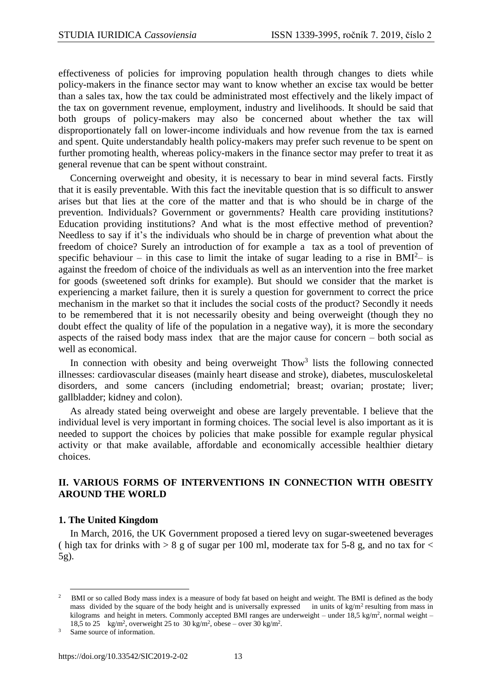effectiveness of policies for improving population health through changes to diets while policy-makers in the finance sector may want to know whether an excise tax would be better than a sales tax, how the tax could be administrated most effectively and the likely impact of the tax on government revenue, employment, industry and livelihoods. It should be said that both groups of policy-makers may also be concerned about whether the tax will disproportionately fall on lower-income individuals and how revenue from the tax is earned and spent. Quite understandably health policy-makers may prefer such revenue to be spent on further promoting health, whereas policy-makers in the finance sector may prefer to treat it as general revenue that can be spent without constraint.

Concerning overweight and obesity, it is necessary to bear in mind several facts. Firstly that it is easily preventable. With this fact the inevitable question that is so difficult to answer arises but that lies at the core of the matter and that is who should be in charge of the prevention. Individuals? Government or governments? Health care providing institutions? Education providing institutions? And what is the most effective method of prevention? Needless to say if it's the individuals who should be in charge of prevention what about the freedom of choice? Surely an introduction of for example a tax as a tool of prevention of specific behaviour – in this case to limit the intake of sugar leading to a rise in  $BMI<sup>2</sup>$  is against the freedom of choice of the individuals as well as an intervention into the free market for goods (sweetened soft drinks for example). But should we consider that the market is experiencing a market failure, then it is surely a question for government to correct the price mechanism in the market so that it includes the social costs of the product? Secondly it needs to be remembered that it is not necessarily obesity and being overweight (though they no doubt effect the quality of life of the population in a negative way), it is more the secondary aspects of the raised body mass index that are the major cause for concern – both social as well as economical.

In connection with obesity and being overweight Thow<sup>3</sup> lists the following connected illnesses: cardiovascular diseases (mainly heart disease and stroke), diabetes, musculoskeletal disorders, and some cancers (including endometrial; breast; ovarian; prostate; liver; gallbladder; kidney and colon).

As already stated being overweight and obese are largely preventable. I believe that the individual level is very important in forming choices. The social level is also important as it is needed to support the choices by policies that make possible for example regular physical activity or that make available, affordable and economically accessible healthier dietary choices.

## **II. VARIOUS FORMS OF INTERVENTIONS IN CONNECTION WITH OBESITY AROUND THE WORLD**

#### **1. The United Kingdom**

In March, 2016, the UK Government proposed a tiered levy on sugar-sweetened beverages ( high tax for drinks with  $> 8$  g of sugar per 100 ml, moderate tax for 5-8 g, and no tax for  $<$ 5g).

 $2^{\circ}$  BMI or so called Body mass index is a measure of body fat based on height and weight. The BMI is defined as the body mass divided by the square of the body height and is universally expressed in units of kg/m<sup>2</sup> resulting from mass in kilograms and height in meters. Commonly accepted BMI ranges are underweight – under  $18,5 \text{ kg/m}^2$ , normal weight – 18,5 to 25 kg/m<sup>2</sup>, overweight 25 to 30 kg/m<sup>2</sup>, obese – over 30 kg/m<sup>2</sup>.

<sup>3</sup> Same source of information.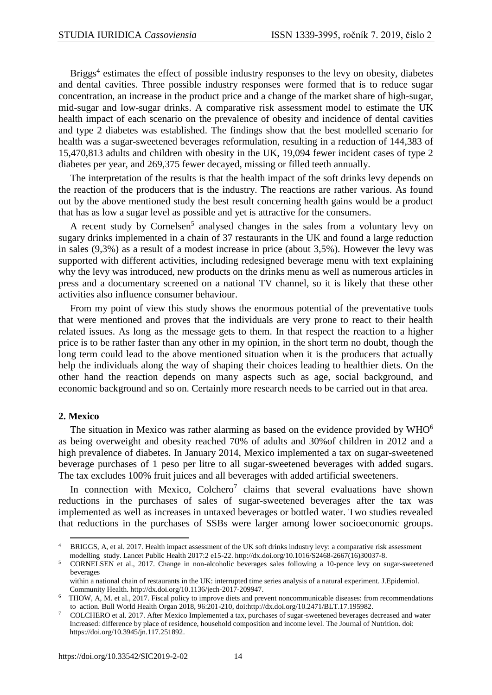Briggs<sup>4</sup> estimates the effect of possible industry responses to the levy on obesity, diabetes and dental cavities. Three possible industry responses were formed that is to reduce sugar concentration, an increase in the product price and a change of the market share of high-sugar, mid-sugar and low-sugar drinks. A comparative risk assessment model to estimate the UK health impact of each scenario on the prevalence of obesity and incidence of dental cavities and type 2 diabetes was established. The findings show that the best modelled scenario for health was a sugar-sweetened beverages reformulation, resulting in a reduction of 144,383 of 15,470,813 adults and children with obesity in the UK, 19,094 fewer incident cases of type 2 diabetes per year, and 269,375 fewer decayed, missing or filled teeth annually.

The interpretation of the results is that the health impact of the soft drinks levy depends on the reaction of the producers that is the industry. The reactions are rather various. As found out by the above mentioned study the best result concerning health gains would be a product that has as low a sugar level as possible and yet is attractive for the consumers.

A recent study by Cornelsen<sup>5</sup> analysed changes in the sales from a voluntary levy on sugary drinks implemented in a chain of 37 restaurants in the UK and found a large reduction in sales (9,3%) as a result of a modest increase in price (about 3,5%). However the levy was supported with different activities, including redesigned beverage menu with text explaining why the levy was introduced, new products on the drinks menu as well as numerous articles in press and a documentary screened on a national TV channel, so it is likely that these other activities also influence consumer behaviour.

From my point of view this study shows the enormous potential of the preventative tools that were mentioned and proves that the individuals are very prone to react to their health related issues. As long as the message gets to them. In that respect the reaction to a higher price is to be rather faster than any other in my opinion, in the short term no doubt, though the long term could lead to the above mentioned situation when it is the producers that actually help the individuals along the way of shaping their choices leading to healthier diets. On the other hand the reaction depends on many aspects such as age, social background, and economic background and so on. Certainly more research needs to be carried out in that area.

#### **2. Mexico**

 $\overline{a}$ 

The situation in Mexico was rather alarming as based on the evidence provided by  $WHO<sup>6</sup>$ as being overweight and obesity reached 70% of adults and 30%of children in 2012 and a high prevalence of diabetes. In January 2014, Mexico implemented a tax on sugar-sweetened beverage purchases of 1 peso per litre to all sugar-sweetened beverages with added sugars. The tax excludes 100% fruit juices and all beverages with added artificial sweeteners.

In connection with Mexico, Colchero<sup>7</sup> claims that several evaluations have shown reductions in the purchases of sales of sugar-sweetened beverages after the tax was implemented as well as increases in untaxed beverages or bottled water. Two studies revealed that reductions in the purchases of SSBs were larger among lower socioeconomic groups.

<sup>4</sup> BRIGGS, A, et al. 2017. Health impact assessment of the UK soft drinks industry levy: a comparative risk assessment modelling study. Lancet Public Health 2017:2 e15-22. http://dx.doi.org/10.1016/S2468-2667(16)30037-8.

<sup>5</sup> CORNELSEN et al., 2017. Change in non-alcoholic beverages sales following a 10-pence levy on sugar-sweetened beverages

within a national chain of restaurants in the UK: interrupted time series analysis of a natural experiment. J.Epidemiol. Community Health. http://dx.doi.org/10.1136/jech-2017-209947.

<sup>6</sup> THOW, A, M. et al., 2017. Fiscal policy to improve diets and prevent noncommunicable diseases: from recommendations to action. Bull World Health Organ 2018, 96:201-210, doi:http://dx.doi.org/10.2471/BLT.17.195982.

<sup>7</sup> COLCHERO et al. 2017. After Mexico Implemented a tax, purchases of sugar-sweetened beverages decreased and water Increased: difference by place of residence, household composition and income level. The Journal of Nutrition. doi: https://doi.org/10.3945/jn.117.251892.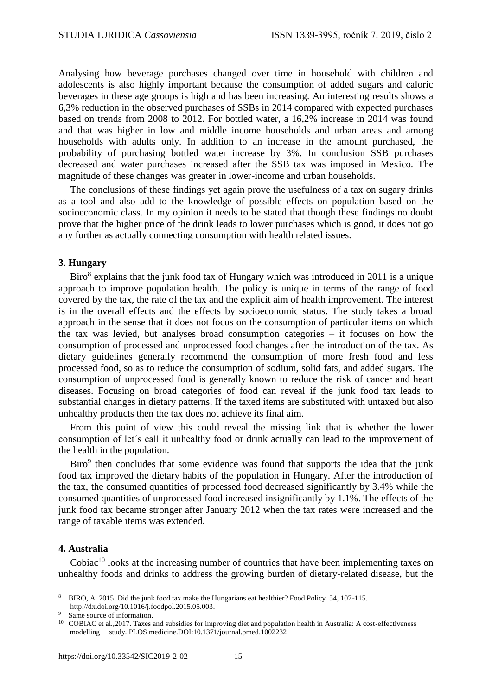Analysing how beverage purchases changed over time in household with children and adolescents is also highly important because the consumption of added sugars and caloric beverages in these age groups is high and has been increasing. An interesting results shows a 6,3% reduction in the observed purchases of SSBs in 2014 compared with expected purchases based on trends from 2008 to 2012. For bottled water, a 16,2% increase in 2014 was found and that was higher in low and middle income households and urban areas and among households with adults only. In addition to an increase in the amount purchased, the probability of purchasing bottled water increase by 3%. In conclusion SSB purchases decreased and water purchases increased after the SSB tax was imposed in Mexico. The magnitude of these changes was greater in lower-income and urban households.

The conclusions of these findings yet again prove the usefulness of a tax on sugary drinks as a tool and also add to the knowledge of possible effects on population based on the socioeconomic class. In my opinion it needs to be stated that though these findings no doubt prove that the higher price of the drink leads to lower purchases which is good, it does not go any further as actually connecting consumption with health related issues.

#### **3. Hungary**

Biro<sup>8</sup> explains that the junk food tax of Hungary which was introduced in 2011 is a unique approach to improve population health. The policy is unique in terms of the range of food covered by the tax, the rate of the tax and the explicit aim of health improvement. The interest is in the overall effects and the effects by socioeconomic status. The study takes a broad approach in the sense that it does not focus on the consumption of particular items on which the tax was levied, but analyses broad consumption categories – it focuses on how the consumption of processed and unprocessed food changes after the introduction of the tax. As dietary guidelines generally recommend the consumption of more fresh food and less processed food, so as to reduce the consumption of sodium, solid fats, and added sugars. The consumption of unprocessed food is generally known to reduce the risk of cancer and heart diseases. Focusing on broad categories of food can reveal if the junk food tax leads to substantial changes in dietary patterns. If the taxed items are substituted with untaxed but also unhealthy products then the tax does not achieve its final aim.

From this point of view this could reveal the missing link that is whether the lower consumption of let´s call it unhealthy food or drink actually can lead to the improvement of the health in the population.

Biro<sup>9</sup> then concludes that some evidence was found that supports the idea that the junk food tax improved the dietary habits of the population in Hungary. After the introduction of the tax, the consumed quantities of processed food decreased significantly by 3.4% while the consumed quantities of unprocessed food increased insignificantly by 1.1%. The effects of the junk food tax became stronger after January 2012 when the tax rates were increased and the range of taxable items was extended.

#### **4. Australia**

 $\overline{a}$ 

Cobiac<sup>10</sup> looks at the increasing number of countries that have been implementing taxes on unhealthy foods and drinks to address the growing burden of dietary-related disease, but the

<sup>8</sup> BIRO, A. 2015. Did the junk food tax make the Hungarians eat healthier? Food Policy 54, 107-115. http://dx.doi.org/10.1016/j.foodpol.2015.05.003.

<sup>9</sup> Same source of information.

<sup>&</sup>lt;sup>10</sup> COBIAC et al., 2017. Taxes and subsidies for improving diet and population health in Australia: A cost-effectiveness modelling study. PLOS medicine.DOI:10.1371/journal.pmed.1002232.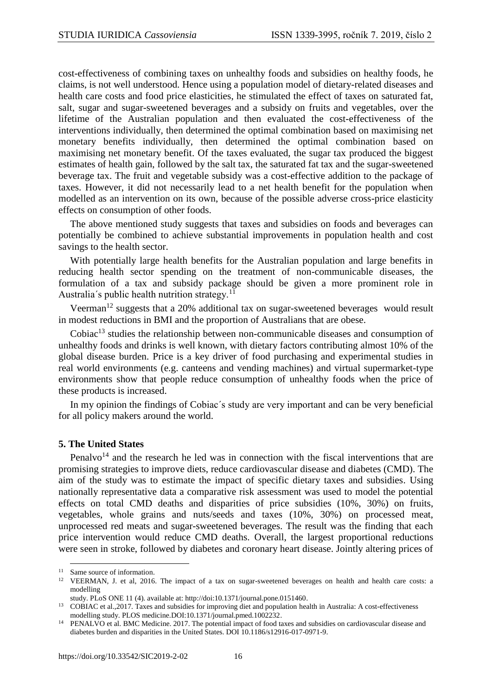cost-effectiveness of combining taxes on unhealthy foods and subsidies on healthy foods, he claims, is not well understood. Hence using a population model of dietary-related diseases and health care costs and food price elasticities, he stimulated the effect of taxes on saturated fat, salt, sugar and sugar-sweetened beverages and a subsidy on fruits and vegetables, over the lifetime of the Australian population and then evaluated the cost-effectiveness of the interventions individually, then determined the optimal combination based on maximising net monetary benefits individually, then determined the optimal combination based on maximising net monetary benefit. Of the taxes evaluated, the sugar tax produced the biggest estimates of health gain, followed by the salt tax, the saturated fat tax and the sugar-sweetened beverage tax. The fruit and vegetable subsidy was a cost-effective addition to the package of taxes. However, it did not necessarily lead to a net health benefit for the population when modelled as an intervention on its own, because of the possible adverse cross-price elasticity effects on consumption of other foods.

The above mentioned study suggests that taxes and subsidies on foods and beverages can potentially be combined to achieve substantial improvements in population health and cost savings to the health sector.

With potentially large health benefits for the Australian population and large benefits in reducing health sector spending on the treatment of non-communicable diseases, the formulation of a tax and subsidy package should be given a more prominent role in Australia's public health nutrition strategy.<sup>11</sup>

Veerman<sup>12</sup> suggests that a 20% additional tax on sugar-sweetened beverages would result in modest reductions in BMI and the proportion of Australians that are obese.

Cobiac<sup>13</sup> studies the relationship between non-communicable diseases and consumption of unhealthy foods and drinks is well known, with dietary factors contributing almost 10% of the global disease burden. Price is a key driver of food purchasing and experimental studies in real world environments (e.g. canteens and vending machines) and virtual supermarket-type environments show that people reduce consumption of unhealthy foods when the price of these products is increased.

In my opinion the findings of Cobiac´s study are very important and can be very beneficial for all policy makers around the world.

## **5. The United States**

Penalvo<sup>14</sup> and the research he led was in connection with the fiscal interventions that are promising strategies to improve diets, reduce cardiovascular disease and diabetes (CMD). The aim of the study was to estimate the impact of specific dietary taxes and subsidies. Using nationally representative data a comparative risk assessment was used to model the potential effects on total CMD deaths and disparities of price subsidies (10%, 30%) on fruits, vegetables, whole grains and nuts/seeds and taxes (10%, 30%) on processed meat, unprocessed red meats and sugar-sweetened beverages. The result was the finding that each price intervention would reduce CMD deaths. Overall, the largest proportional reductions were seen in stroke, followed by diabetes and coronary heart disease. Jointly altering prices of

<sup>11</sup> Same source of information.

<sup>&</sup>lt;sup>12</sup> VEERMAN, J. et al, 2016. The impact of a tax on sugar-sweetened beverages on health and health care costs: a modelling

study. PLoS ONE 11 (4). available at: http://doi:10.1371/journal.pone.0151460.

<sup>&</sup>lt;sup>13</sup> COBIAC et al., 2017. Taxes and subsidies for improving diet and population health in Australia: A cost-effectiveness modelling study. PLOS medicine.DOI:10.1371/journal.pmed.1002232.

<sup>&</sup>lt;sup>14</sup> PENALVO et al. BMC Medicine. 2017. The potential impact of food taxes and subsidies on cardiovascular disease and diabetes burden and disparities in the United States. DOI 10.1186/s12916-017-0971-9.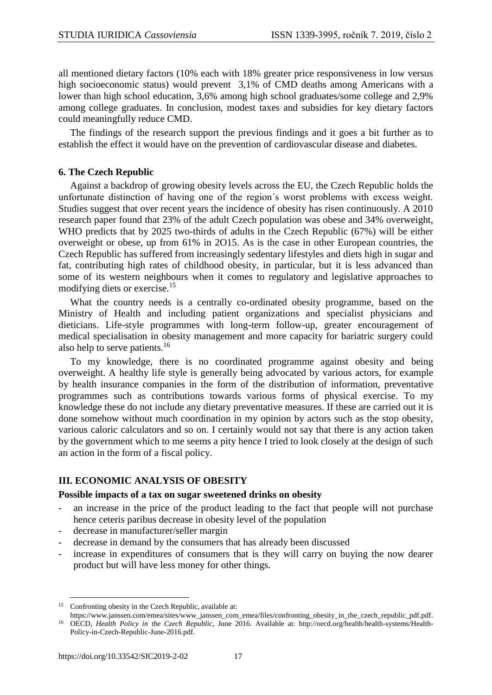all mentioned dietary factors (10% each with 18% greater price responsiveness in low versus high socioeconomic status) would prevent 3,1% of CMD deaths among Americans with a lower than high school education, 3,6% among high school graduates/some college and 2,9% among college graduates. In conclusion, modest taxes and subsidies for key dietary factors could meaningfully reduce CMD.

The findings of the research support the previous findings and it goes a bit further as to establish the effect it would have on the prevention of cardiovascular disease and diabetes.

# **6. The Czech Republic**

Against a backdrop of growing obesity levels across the EU, the Czech Republic holds the unfortunate distinction of having one of the region´s worst problems with excess weight. Studies suggest that over recent years the incidence of obesity has risen continuously. A 2010 research paper found that 23% of the adult Czech population was obese and 34% overweight, WHO predicts that by 2025 two-thirds of adults in the Czech Republic (67%) will be either overweight or obese, up from 61% in 2O15. As is the case in other European countries, the Czech Republic has suffered from increasingly sedentary lifestyles and diets high in sugar and fat, contributing high rates of childhood obesity, in particular, but it is less advanced than some of its western neighbours when it comes to regulatory and legislative approaches to modifying diets or exercise. 15

What the country needs is a centrally co-ordinated obesity programme, based on the Ministry of Health and including patient organizations and specialist physicians and dieticians. Life-style programmes with long-term follow-up, greater encouragement of medical specialisation in obesity management and more capacity for bariatric surgery could also help to serve patients.<sup>16</sup>

To my knowledge, there is no coordinated programme against obesity and being overweight. A healthy life style is generally being advocated by various actors, for example by health insurance companies in the form of the distribution of information, preventative programmes such as contributions towards various forms of physical exercise. To my knowledge these do not include any dietary preventative measures. If these are carried out it is done somehow without much coordination in my opinion by actors such as the stop obesity, various caloric calculators and so on. I certainly would not say that there is any action taken by the government which to me seems a pity hence I tried to look closely at the design of such an action in the form of a fiscal policy.

# **III. ECONOMIC ANALYSIS OF OBESITY**

## **Possible impacts of a tax on sugar sweetened drinks on obesity**

- an increase in the price of the product leading to the fact that people will not purchase hence ceteris paribus decrease in obesity level of the population
- decrease in manufacturer/seller margin
- decrease in demand by the consumers that has already been discussed
- increase in expenditures of consumers that is they will carry on buying the now dearer product but will have less money for other things.

 $\overline{a}$ <sup>15</sup> [Confronting](file:///C:/Users/bellovaj/Desktop/Confronting) obesity in the Czech Republic, available at:

https://www.janssen.com/emea/sites/www\_janssen\_com\_emea/files/confronting\_obesity\_in\_the\_czech\_republic\_pdf.pdf. <sup>16</sup> OECD, *Health Policy in the Czech Republic*, June 2016. Available at: [http://oecd.org/health/health-systems/Health-](http://oecd.org/health/health-systems/Health-Policy-)[Policy-i](http://oecd.org/health/health-systems/Health-Policy-)n-Czech-Republic-June-2016.pdf.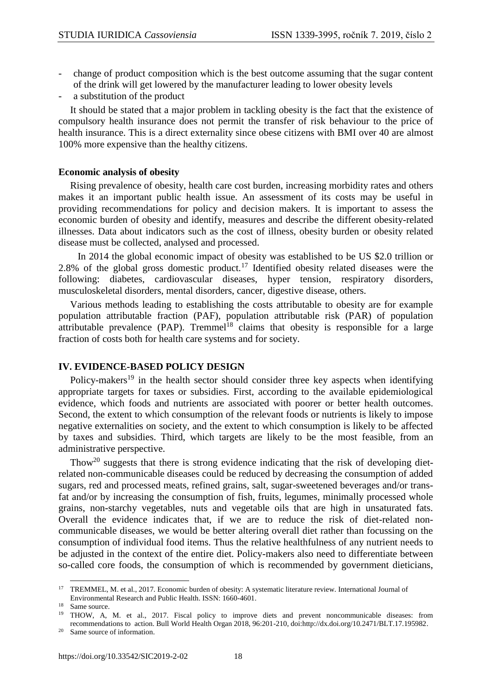- change of product composition which is the best outcome assuming that the sugar content of the drink will get lowered by the manufacturer leading to lower obesity levels
- a substitution of the product

It should be stated that a major problem in tackling obesity is the fact that the existence of compulsory health insurance does not permit the transfer of risk behaviour to the price of health insurance. This is a direct externality since obese citizens with BMI over 40 are almost 100% more expensive than the healthy citizens.

#### **Economic analysis of obesity**

Rising prevalence of obesity, health care cost burden, increasing morbidity rates and others makes it an important public health issue. An assessment of its costs may be useful in providing recommendations for policy and decision makers. It is important to assess the economic burden of obesity and identify, measures and describe the different obesity-related illnesses. Data about indicators such as the cost of illness, obesity burden or obesity related disease must be collected, analysed and processed.

 In 2014 the global economic impact of obesity was established to be US \$2.0 trillion or  $2.8\%$  of the global gross domestic product.<sup>17</sup> Identified obesity related diseases were the following: diabetes, cardiovascular diseases, hyper tension, respiratory disorders, musculoskeletal disorders, mental disorders, cancer, digestive disease, others.

Various methods leading to establishing the costs attributable to obesity are for example population attributable fraction (PAF), population attributable risk (PAR) of population attributable prevalence (PAP). Tremmel<sup>18</sup> claims that obesity is responsible for a large fraction of costs both for health care systems and for society.

#### **IV. EVIDENCE-BASED POLICY DESIGN**

Policy-makers<sup>19</sup> in the health sector should consider three key aspects when identifying appropriate targets for taxes or subsidies. First, according to the available epidemiological evidence, which foods and nutrients are associated with poorer or better health outcomes. Second, the extent to which consumption of the relevant foods or nutrients is likely to impose negative externalities on society, and the extent to which consumption is likely to be affected by taxes and subsidies. Third, which targets are likely to be the most feasible, from an administrative perspective.

Thow<sup>20</sup> suggests that there is strong evidence indicating that the risk of developing dietrelated non-communicable diseases could be reduced by decreasing the consumption of added sugars, red and processed meats, refined grains, salt, sugar-sweetened beverages and/or transfat and/or by increasing the consumption of fish, fruits, legumes, minimally processed whole grains, non-starchy vegetables, nuts and vegetable oils that are high in unsaturated fats. Overall the evidence indicates that, if we are to reduce the risk of diet-related noncommunicable diseases, we would be better altering overall diet rather than focussing on the consumption of individual food items. Thus the relative healthfulness of any nutrient needs to be adjusted in the context of the entire diet. Policy-makers also need to differentiate between so-called core foods, the consumption of which is recommended by government dieticians,

<sup>&</sup>lt;sup>17</sup> TREMMEL, M. et al., 2017. Economic burden of obesity: A systematic literature review. International Journal of Environmental Research and Public Health. ISSN: 1660-4601.

<sup>18</sup> Same source.

<sup>19</sup> THOW, A, M. et al., 2017. Fiscal policy to improve diets and prevent noncommunicable diseases: from recommendations to action. Bull World Health Organ 2018, 96:201-210, doi:http://dx.doi.org/10.2471/BLT.17.195982.

<sup>20</sup> Same source of information.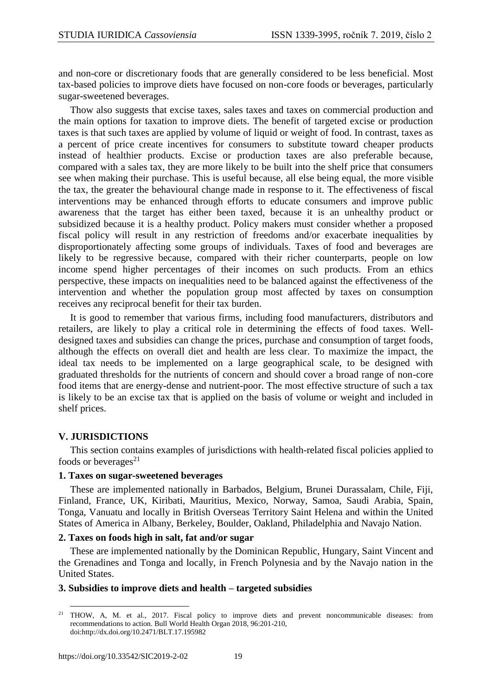and non-core or discretionary foods that are generally considered to be less beneficial. Most tax-based policies to improve diets have focused on non-core foods or beverages, particularly sugar-sweetened beverages.

Thow also suggests that excise taxes, sales taxes and taxes on commercial production and the main options for taxation to improve diets. The benefit of targeted excise or production taxes is that such taxes are applied by volume of liquid or weight of food. In contrast, taxes as a percent of price create incentives for consumers to substitute toward cheaper products instead of healthier products. Excise or production taxes are also preferable because, compared with a sales tax, they are more likely to be built into the shelf price that consumers see when making their purchase. This is useful because, all else being equal, the more visible the tax, the greater the behavioural change made in response to it. The effectiveness of fiscal interventions may be enhanced through efforts to educate consumers and improve public awareness that the target has either been taxed, because it is an unhealthy product or subsidized because it is a healthy product. Policy makers must consider whether a proposed fiscal policy will result in any restriction of freedoms and/or exacerbate inequalities by disproportionately affecting some groups of individuals. Taxes of food and beverages are likely to be regressive because, compared with their richer counterparts, people on low income spend higher percentages of their incomes on such products. From an ethics perspective, these impacts on inequalities need to be balanced against the effectiveness of the intervention and whether the population group most affected by taxes on consumption receives any reciprocal benefit for their tax burden.

It is good to remember that various firms, including food manufacturers, distributors and retailers, are likely to play a critical role in determining the effects of food taxes. Welldesigned taxes and subsidies can change the prices, purchase and consumption of target foods, although the effects on overall diet and health are less clear. To maximize the impact, the ideal tax needs to be implemented on a large geographical scale, to be designed with graduated thresholds for the nutrients of concern and should cover a broad range of non-core food items that are energy-dense and nutrient-poor. The most effective structure of such a tax is likely to be an excise tax that is applied on the basis of volume or weight and included in shelf prices.

## **V. JURISDICTIONS**

This section contains examples of jurisdictions with health-related fiscal policies applied to foods or beverages $^{21}$ 

#### **1. Taxes on sugar-sweetened beverages**

These are implemented nationally in Barbados, Belgium, Brunei Durassalam, Chile, Fiji, Finland, France, UK, Kiribati, Mauritius, Mexico, Norway, Samoa, Saudi Arabia, Spain, Tonga, Vanuatu and locally in British Overseas Territory Saint Helena and within the United States of America in Albany, Berkeley, Boulder, Oakland, Philadelphia and Navajo Nation.

#### **2. Taxes on foods high in salt, fat and/or sugar**

These are implemented nationally by the Dominican Republic, Hungary, Saint Vincent and the Grenadines and Tonga and locally, in French Polynesia and by the Navajo nation in the United States.

## **3. Subsidies to improve diets and health – targeted subsidies**

 $\overline{a}$ <sup>21</sup> THOW, A, M. et al., 2017. Fiscal policy to improve diets and prevent noncommunicable diseases: from recommendations to action. Bull World Health Organ 2018, 96:201-210, doi:http://dx.doi.org/10.2471/BLT.17.195982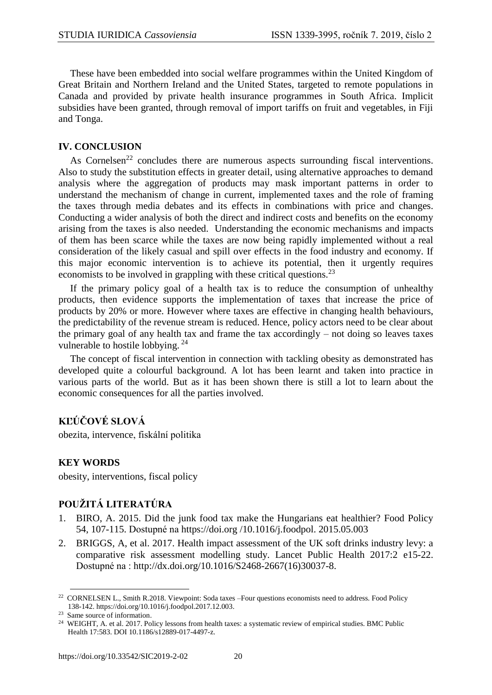These have been embedded into social welfare programmes within the United Kingdom of Great Britain and Northern Ireland and the United States, targeted to remote populations in Canada and provided by private health insurance programmes in South Africa. Implicit subsidies have been granted, through removal of import tariffs on fruit and vegetables, in Fiji and Tonga.

#### **IV. CONCLUSION**

As Cornelsen<sup>22</sup> concludes there are numerous aspects surrounding fiscal interventions. Also to study the substitution effects in greater detail, using alternative approaches to demand analysis where the aggregation of products may mask important patterns in order to understand the mechanism of change in current, implemented taxes and the role of framing the taxes through media debates and its effects in combinations with price and changes. Conducting a wider analysis of both the direct and indirect costs and benefits on the economy arising from the taxes is also needed. Understanding the economic mechanisms and impacts of them has been scarce while the taxes are now being rapidly implemented without a real consideration of the likely casual and spill over effects in the food industry and economy. If this major economic intervention is to achieve its potential, then it urgently requires economists to be involved in grappling with these critical questions.<sup>23</sup>

If the primary policy goal of a health tax is to reduce the consumption of unhealthy products, then evidence supports the implementation of taxes that increase the price of products by 20% or more. However where taxes are effective in changing health behaviours, the predictability of the revenue stream is reduced. Hence, policy actors need to be clear about the primary goal of any health tax and frame the tax accordingly – not doing so leaves taxes vulnerable to hostile lobbying. <sup>24</sup>

The concept of fiscal intervention in connection with tackling obesity as demonstrated has developed quite a colourful background. A lot has been learnt and taken into practice in various parts of the world. But as it has been shown there is still a lot to learn about the economic consequences for all the parties involved.

# **KĽÚČOVÉ SLOVÁ**

obezita, intervence, fiskální politika

## **KEY WORDS**

obesity, interventions, fiscal policy

# **POUŽITÁ LITERATÚRA**

- 1. BIRO, A. 2015. Did the junk food tax make the Hungarians eat healthier? Food Policy 54, 107-115. Dostupné na [https://doi.org](https://doi.org/) /10.1016/j.foodpol. 2015.05.003
- 2. BRIGGS, A, et al. 2017. Health impact assessment of the UK soft drinks industry levy: a comparative risk assessment modelling study. Lancet Public Health 2017:2 e15-22. Dostupné na : [http://dx.doi.org/10.1016/S2468-2667\(16\)30037-8.](http://dx.doi.org/10.1016/S2468-2667(16)30037-8)

<sup>&</sup>lt;sup>22</sup> CORNELSEN L., Smith R.2018. Viewpoint: Soda taxes –Four questions economists need to address. Food Policy 138-142. https://doi.org/10.1016/j.foodpol.2017.12.003.

<sup>23</sup> Same source of information.

<sup>&</sup>lt;sup>24</sup> WEIGHT, A. et al. 2017. Policy lessons from health taxes: a systematic review of empirical studies. BMC Public Health 17:583. DOI 10.1186/s12889-017-4497-z.